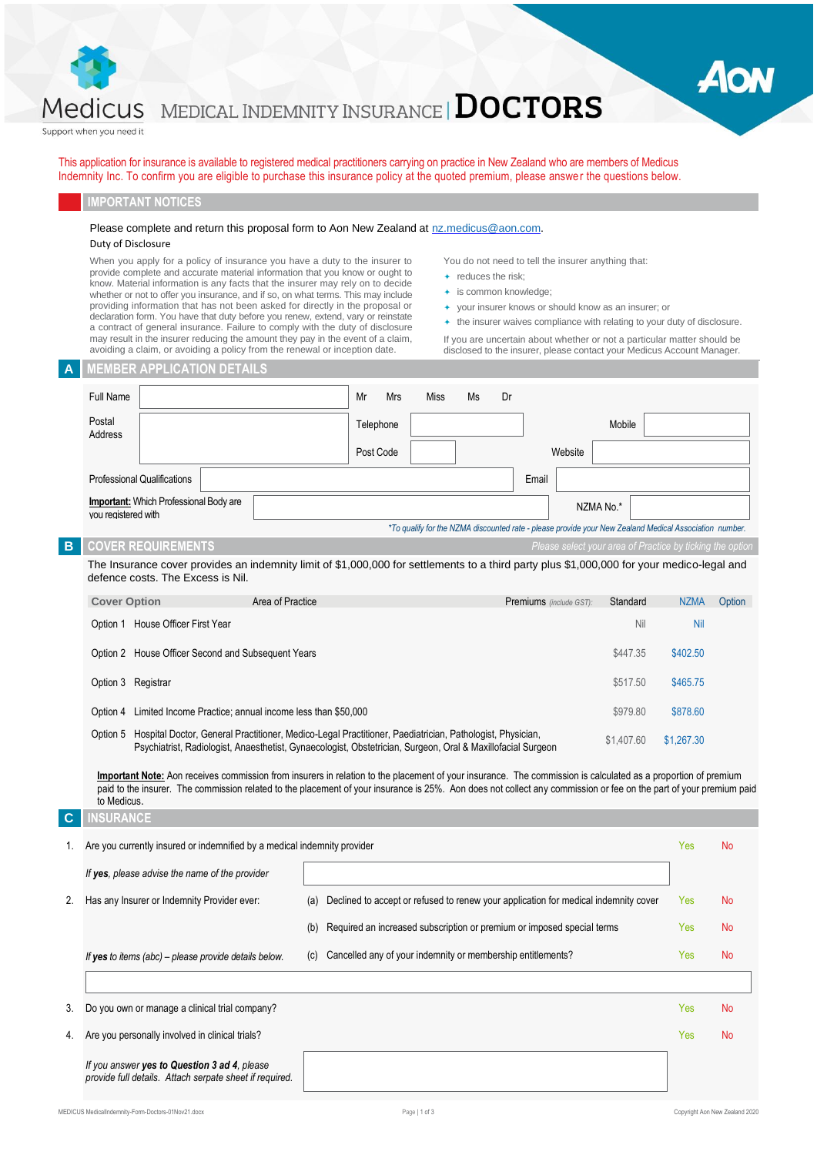

# MEDICAL INDEMNITY INSURANCE  $|\mathbf{DOCTORS}|$

Support when you need it

This application for insurance is available to registered medical practitioners carrying on practice in New Zealand who are members of Medicus Indemnity Inc. To confirm you are eligible to purchase this insurance policy at the quoted premium, please answer the questions below.

#### **IMPORTANT NOTICES**

#### Please complete and return this proposal form to Aon New Zealand at [nz.medicus@aon.com.](mailto:nz.medicus@aon.com)

#### Duty of Disclosure

When you apply for a policy of insurance you have a duty to the insurer to provide complete and accurate material information that you know or ought to know. Material information is any facts that the insurer may rely on to decide whether or not to offer you insurance, and if so, on what terms. This may include providing information that has not been asked for directly in the proposal or declaration form. You have that duty before you renew, extend, vary or reinstate a contract of general insurance. Failure to comply with the duty of disclosure may result in the insurer reducing the amount they pay in the event of a claim, avoiding a claim, or avoiding a policy from the renewal or inception date.

You do not need to tell the insurer anything that:

- $\leftarrow$  reduces the risk;
- is common knowledge;
- your insurer knows or should know as an insurer; or
- $\quad \overline{\phantom{a}}$  the insurer waives compliance with relating to your duty of disclosure.

Aor

If you are uncertain about whether or not a particular matter should be disclosed to the insurer, please contact your Medicus Account Manager.

| Α           | <b>MEMBER APPLICATION DETAILS</b>                                                                                                                                                                                                                                                                                                                  |                                                                                            |               |    |                         |         |                                                                                                        |             |                                |
|-------------|----------------------------------------------------------------------------------------------------------------------------------------------------------------------------------------------------------------------------------------------------------------------------------------------------------------------------------------------------|--------------------------------------------------------------------------------------------|---------------|----|-------------------------|---------|--------------------------------------------------------------------------------------------------------|-------------|--------------------------------|
|             | <b>Full Name</b>                                                                                                                                                                                                                                                                                                                                   | Mr<br>Mrs                                                                                  | <b>Miss</b>   | Ms | Dr                      |         |                                                                                                        |             |                                |
|             | Postal<br>Address                                                                                                                                                                                                                                                                                                                                  | Telephone                                                                                  |               |    |                         |         | Mobile                                                                                                 |             |                                |
|             |                                                                                                                                                                                                                                                                                                                                                    | Post Code                                                                                  |               |    |                         | Website |                                                                                                        |             |                                |
|             | <b>Professional Qualifications</b>                                                                                                                                                                                                                                                                                                                 |                                                                                            |               |    | Email                   |         |                                                                                                        |             |                                |
|             | <b>Important:</b> Which Professional Body are<br>vou reaistered with                                                                                                                                                                                                                                                                               |                                                                                            |               |    |                         |         | NZMA No.*                                                                                              |             |                                |
|             |                                                                                                                                                                                                                                                                                                                                                    |                                                                                            |               |    |                         |         | *To qualify for the NZMA discounted rate - please provide your New Zealand Medical Association number. |             |                                |
| $\mathbf B$ | <b>COVER REQUIREMENTS</b>                                                                                                                                                                                                                                                                                                                          |                                                                                            |               |    |                         |         | Please select your area of Practice by ticking the option                                              |             |                                |
|             | The Insurance cover provides an indemnity limit of \$1,000,000 for settlements to a third party plus \$1,000,000 for your medico-legal and<br>defence costs. The Excess is Nil.                                                                                                                                                                    |                                                                                            |               |    |                         |         |                                                                                                        |             |                                |
|             | <b>Cover Option</b><br>Area of Practice                                                                                                                                                                                                                                                                                                            |                                                                                            |               |    | Premiums (include GST): |         | Standard                                                                                               | <b>NZMA</b> | Option                         |
|             | Option 1 House Officer First Year                                                                                                                                                                                                                                                                                                                  |                                                                                            |               |    |                         |         | Nil                                                                                                    | <b>Nil</b>  |                                |
|             | Option 2 House Officer Second and Subsequent Years                                                                                                                                                                                                                                                                                                 |                                                                                            |               |    |                         |         | \$447.35                                                                                               | \$402.50    |                                |
|             | Option 3 Registrar                                                                                                                                                                                                                                                                                                                                 |                                                                                            |               |    |                         |         | \$517.50                                                                                               | \$465.75    |                                |
|             | Option 4 Limited Income Practice; annual income less than \$50,000<br>\$979.80                                                                                                                                                                                                                                                                     |                                                                                            |               |    | \$878.60                |         |                                                                                                        |             |                                |
|             | Option 5 Hospital Doctor, General Practitioner, Medico-Legal Practitioner, Paediatrician, Pathologist, Physician,<br>\$1,407.60<br>Psychiatrist, Radiologist, Anaesthetist, Gynaecologist, Obstetrician, Surgeon, Oral & Maxillofacial Surgeon                                                                                                     |                                                                                            |               |    | \$1,267.30              |         |                                                                                                        |             |                                |
|             |                                                                                                                                                                                                                                                                                                                                                    |                                                                                            |               |    |                         |         |                                                                                                        |             |                                |
|             | Important Note: Aon receives commission from insurers in relation to the placement of your insurance. The commission is calculated as a proportion of premium<br>paid to the insurer. The commission related to the placement of your insurance is 25%. Aon does not collect any commission or fee on the part of your premium paid<br>to Medicus. |                                                                                            |               |    |                         |         |                                                                                                        |             |                                |
| C           | <b>INSURANCE</b>                                                                                                                                                                                                                                                                                                                                   |                                                                                            |               |    |                         |         |                                                                                                        |             |                                |
| 1.          | Are you currently insured or indemnified by a medical indemnity provider                                                                                                                                                                                                                                                                           |                                                                                            |               |    |                         |         |                                                                                                        | Yes         | <b>No</b>                      |
|             | If yes, please advise the name of the provider                                                                                                                                                                                                                                                                                                     |                                                                                            |               |    |                         |         |                                                                                                        |             |                                |
| 2.          | Has any Insurer or Indemnity Provider ever:                                                                                                                                                                                                                                                                                                        | Declined to accept or refused to renew your application for medical indemnity cover<br>(a) |               |    |                         |         |                                                                                                        | Yes         | <b>No</b>                      |
|             |                                                                                                                                                                                                                                                                                                                                                    | Required an increased subscription or premium or imposed special terms<br>(b)              |               |    |                         |         |                                                                                                        | Yes         | No                             |
|             | If yes to items (abc) – please provide details below.                                                                                                                                                                                                                                                                                              | Cancelled any of your indemnity or membership entitlements?<br>(c)                         |               |    |                         |         |                                                                                                        | Yes         | No                             |
|             |                                                                                                                                                                                                                                                                                                                                                    |                                                                                            |               |    |                         |         |                                                                                                        |             |                                |
| 3.          | Do you own or manage a clinical trial company?                                                                                                                                                                                                                                                                                                     |                                                                                            |               |    |                         |         |                                                                                                        | Yes         | <b>No</b>                      |
| 4.          | Are you personally involved in clinical trials?                                                                                                                                                                                                                                                                                                    |                                                                                            |               |    |                         |         |                                                                                                        | Yes         | <b>No</b>                      |
|             | If you answer yes to Question 3 ad 4, please<br>provide full details. Attach serpate sheet if required.                                                                                                                                                                                                                                            |                                                                                            |               |    |                         |         |                                                                                                        |             |                                |
|             | MEDICUS MedicalIndemnity-Form-Doctors-01Nov21.docx                                                                                                                                                                                                                                                                                                 |                                                                                            | Page   1 of 3 |    |                         |         |                                                                                                        |             | Copyright Aon New Zealand 2020 |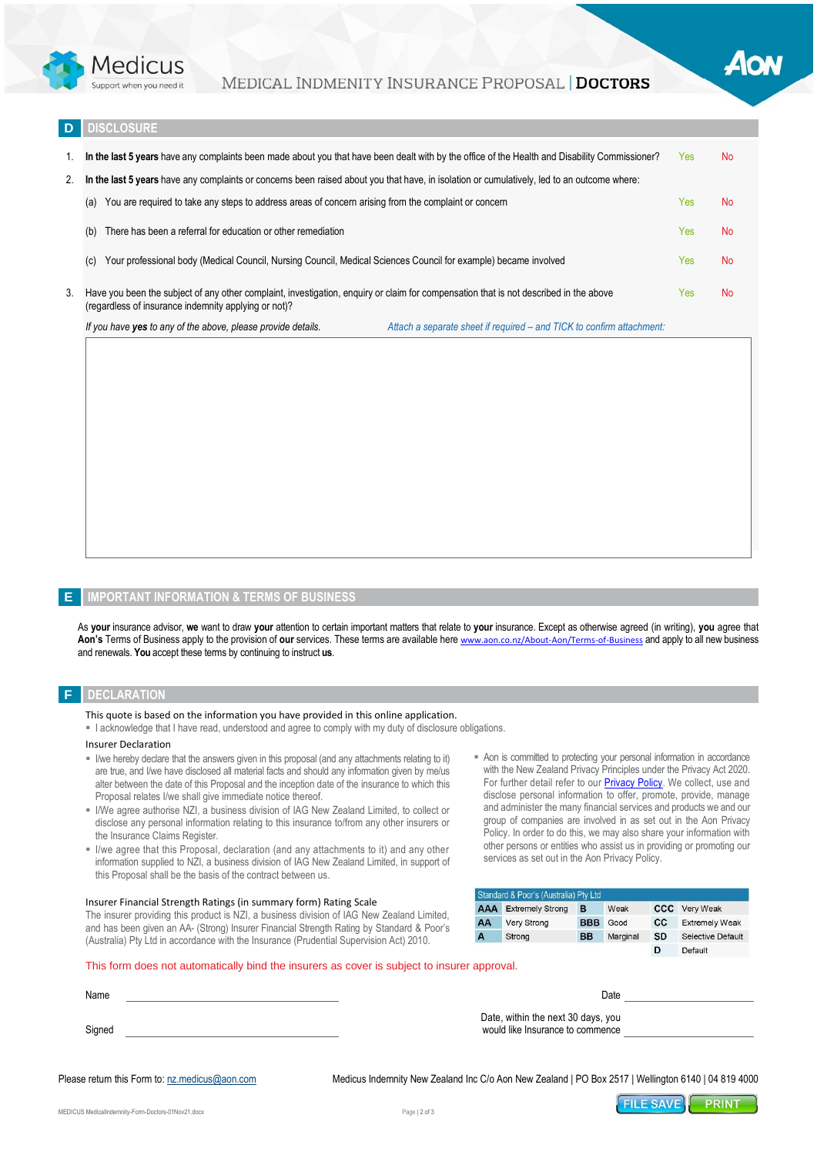

### MEDICAL INDMENITY INSURANCE PROPOSAL DOCTORS

#### **DISCLOSURE**

|    | 1. In the last 5 years have any complaints been made about you that have been dealt with by the office of the Health and Disability Commissioner?<br>Yes                                      |                                                                       |      |           |  |  |
|----|-----------------------------------------------------------------------------------------------------------------------------------------------------------------------------------------------|-----------------------------------------------------------------------|------|-----------|--|--|
| 2. | In the last 5 years have any complaints or concerns been raised about you that have, in isolation or cumulatively, led to an outcome where:                                                   |                                                                       |      |           |  |  |
|    | You are required to take any steps to address areas of concern arising from the complaint or concern<br>(a)                                                                                   |                                                                       | Yes  | <b>No</b> |  |  |
|    | There has been a referral for education or other remediation<br>(b)                                                                                                                           |                                                                       | Yes  | <b>No</b> |  |  |
|    | Your professional body (Medical Council, Nursing Council, Medical Sciences Council for example) became involved<br>(c)                                                                        |                                                                       | Yes: | <b>No</b> |  |  |
| 3. | Have you been the subject of any other complaint, investigation, enguiry or claim for compensation that is not described in the above<br>(regardless of insurance indemnity applying or not)? |                                                                       | Yes: | <b>No</b> |  |  |
|    | If you have <b>yes</b> to any of the above, please provide details.                                                                                                                           | Attach a separate sheet if required – and TICK to confirm attachment: |      |           |  |  |

#### **E IMPORTANT INFORMATION & TERMS OF BUSINESS**

As **your** insurance advisor, **we** want to draw **your** attention to certain important matters that relate to **your** insurance. Except as otherwise agreed (in writing), **you** agree that **Aon's** Terms of Business apply to the provision of **our** services. These terms are available here [www.aon.co.nz/About-Aon/Terms-of-Business](http://www.aon.co.nz/About-Aon/Terms-of-Business) and apply to all new business and renewals. **You** accept these terms by continuing to instruct **us**.

#### **F DECLARATION**

This quote is based on the information you have provided in this online application.

▪ I acknowledge that I have read, understood and agree to comply with my duty of disclosure obligations.

#### Insurer Declaration

- I/we hereby declare that the answers given in this proposal (and any attachments relating to it) are true, and I/we have disclosed all material facts and should any information given by me/us alter between the date of this Proposal and the inception date of the insurance to which this Proposal relates I/we shall give immediate notice thereof.
- I/We agree authorise NZI, a business division of IAG New Zealand Limited, to collect or disclose any personal information relating to this insurance to/from any other insurers or the Insurance Claims Register.
- **.** I/we agree that this Proposal, declaration (and any attachments to it) and any other information supplied to NZI, a business division of IAG New Zealand Limited, in support of this Proposal shall be the basis of the contract between us.

#### Insurer Financial Strength Ratings (in summary form) Rating Scale

The insurer providing this product is NZI, a business division of IAG New Zealand Limited, and has been given an AA- (Strong) Insurer Financial Strength Rating by Standard & Poor's (Australia) Pty Ltd in accordance with the Insurance (Prudential Supervision Act) 2010.

■ Aon is committed to protecting your personal information in accordance with the New Zealand Privacy Principles under the Privacy Act 2020. For further detail refer to our **Privacy Policy**. We collect, use and disclose personal information to offer, promote, provide, manage and administer the many financial services and products we and our group of companies are involved in as set out in the Aon Privacy Policy. In order to do this, we may also share your information with other persons or entities who assist us in providing or promoting our services as set out in the Aon Privacy Policy.

| Standard & Poor's (Australia) Pty Ltd |                         |            |          |           |                       |  |
|---------------------------------------|-------------------------|------------|----------|-----------|-----------------------|--|
| <b>AAA</b>                            | <b>Extremely Strong</b> | в          | Weak     |           | <b>CCC</b> Very Weak  |  |
| AA                                    | Very Strong             | <b>BBB</b> | Good     | <b>CC</b> | <b>Extremely Weak</b> |  |
| A                                     | Strong                  | <b>BB</b>  | Marginal | <b>SD</b> | Selective Default     |  |
|                                       |                         |            |          |           | Default               |  |

#### This form does not automatically bind the insurers as cover is subject to insurer approval.

| Name   | Date                                                                   |  |
|--------|------------------------------------------------------------------------|--|
| Signed | Date, within the next 30 days, you<br>would like Insurance to commence |  |

Please return this Form to[: nz.medicus@aon.com](mailto:nz.medicus@aon.com) Medicus Indemnity New Zealand Inc C/o Aon New Zealand | PO Box 2517 | Wellington 6140 | 04 819 4000

**FILE SAVE PRINT**